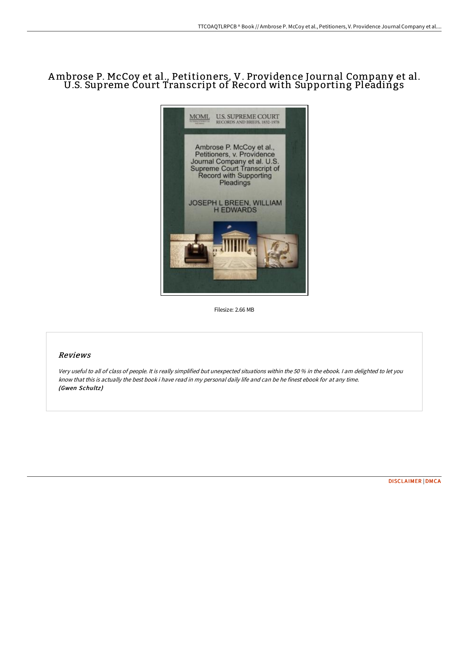## Ambrose P. McCoy et al., Petitioners, V. Providence Journal Company et al. U.S. Supreme Court Transcript of Record with Supporting Pleadings



Filesize: 2.66 MB

## Reviews

Very useful to all of class of people. It is really simplified but unexpected situations within the <sup>50</sup> % in the ebook. <sup>I</sup> am delighted to let you know that this is actually the best book i have read in my personal daily life and can be he finest ebook for at any time. (Gwen Schultz)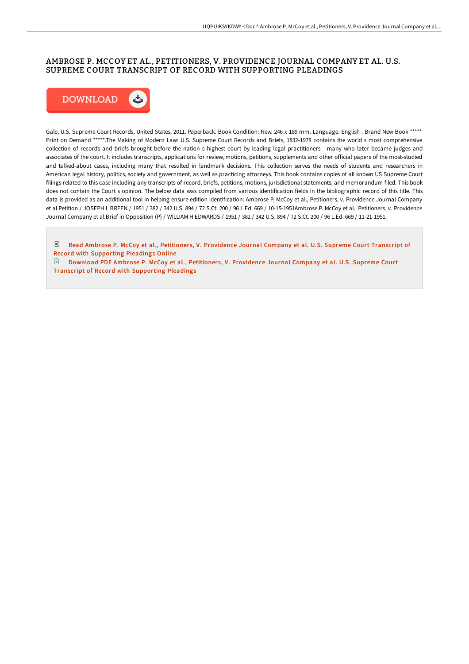## AMBROSE P. MCCOY ET AL., PETITIONERS, V. PROVIDENCE JOURNAL COMPANY ET AL. U.S. SUPREME COURT TRANSCRIPT OF RECORD WITH SUPPORTING PLEADINGS



Gale, U.S. Supreme Court Records, United States, 2011. Paperback. Book Condition: New. 246 x 189 mm. Language: English . Brand New Book \*\*\*\*\* Print on Demand \*\*\*\*\*.The Making of Modern Law: U.S. Supreme Court Records and Briefs, 1832-1978 contains the world s most comprehensive collection of records and briefs brought before the nation s highest court by leading legal practitioners - many who later became judges and associates of the court. It includes transcripts, applications for review, motions, petitions, supplements and other official papers of the most-studied and talked-about cases, including many that resulted in landmark decisions. This collection serves the needs of students and researchers in American legal history, politics, society and government, as well as practicing attorneys. This book contains copies of all known US Supreme Court filings related to this case including any transcripts of record, briefs, petitions, motions, jurisdictional statements, and memorandum filed. This book does not contain the Court s opinion. The below data was compiled from various identification fields in the bibliographic record of this title. This data is provided as an additional tool in helping ensure edition identification: Ambrose P. McCoy et al., Petitioners, v. Providence Journal Company et al.Petition / JOSEPH L BREEN / 1951 / 382 / 342 U.S. 894 / 72 S.Ct. 200 / 96 L.Ed. 669 / 10-15-1951Ambrose P. McCoy et al., Petitioners, v. Providence Journal Company et al.Brief in Opposition (P) / WILLIAM H EDWARDS / 1951 / 382 / 342 U.S. 894 / 72 S.Ct. 200 / 96 L.Ed. 669 / 11-21-1951.

 $_{\rm PDF}$ Read Ambrose P. McCoy et al., Petitioners, V. [Providence](http://bookera.tech/ambrose-p-mccoy-et-al-petitioners-v-providence-j.html) Journal Company et al. U.S. Supreme Court Transcript of Record with Supporting Pleadings Online

Download PDF Ambrose P. McCoy et al., Petitioners, V. Providence Journal Company et al. U.S. Supreme Court Transcript of Record with [Supporting](http://bookera.tech/ambrose-p-mccoy-et-al-petitioners-v-providence-j.html) Pleadings